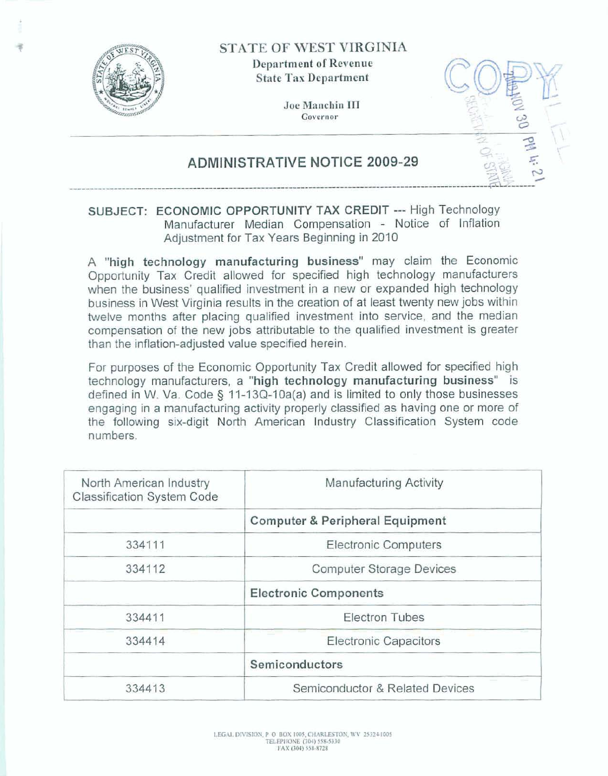

**STATE OF WEST VIRGINIA** 

**Department of Revenue State Tax Department** 

> Joe Manchin III **Ewernor**



## **ADMINISTRATIVE NOTICE 2009-29**

## **SUBJECT: ECONOMIC OPPORTUNITY TAX CREDIT --- High Technology Manufacturer Median Compensation** - **Notice** of Inflation Adjustment for Tax Years Beginning in 2010

**A "high technology manufacturing business" may** daim the Economic **Opportunity Tax** Credit **allowed for specified high** technoIogy **manufacturers when the business' qualified investment** in **a new** or **expanded high technology business** in West **Virginia results in the** creation **of** at **least twenty new jobs within helve months after placing qualified investment into** service, and **the** median compensation of the new **jobs attributable** to **the qualified** investment **is greater than the inflation-adjusted value specified herein.** 

**For purposes of the Economic Opportunity Tax** Credit **allowed for specified high technology manufacturers, a "high technology manufacturing business" is defined in W, Va. Code <sup>5</sup>**I 1-1 **3Q-l Oa(a) and is limited to only those businesses engaging** in a **manufacturing activity properly classified as having one or more of**  the following six-digit North American Industry Classification System code **numbers.** 

| North American Industry<br>Classification System Code | Manufacturing Activity                     |
|-------------------------------------------------------|--------------------------------------------|
|                                                       | <b>Computer &amp; Peripheral Equipment</b> |
| 334111                                                | <b>Electronic Computers</b>                |
| 334112                                                | <b>Computer Storage Devices</b>            |
|                                                       | <b>Electronic Components</b>               |
| 334411                                                | <b>Electron Tubes</b>                      |
| 334414                                                | <b>Electronic Capacitors</b>               |
|                                                       | Semiconductors                             |
| 334413                                                | Semiconductor & Related Devices            |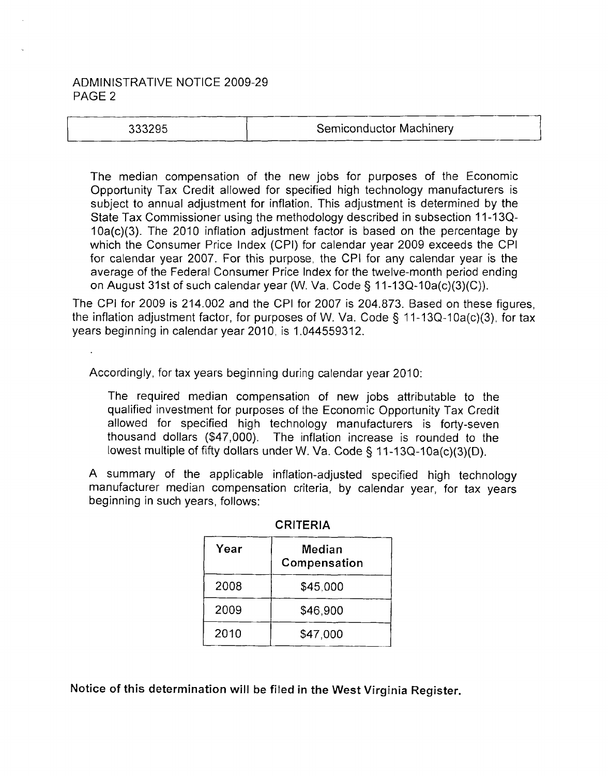## ADMINISTRATIVE NOTICE 2009-29 PAGE 2

| 33295، |
|--------|
|--------|

The median compensation of the new jobs for purposes of the Economic Opportunity Tax Credit allowed for specified high technology manufacturers is subject to annual adjustment for inflation. This adjustment is determined by the State Tax Commissioner using the methodology described in subsection 11-13Q-10a(c)(3). The 2010 inflation adjustment factor is based on the percentage by which the Consumer Price lndex (CPI) for calendar year 2009 exceeds the CPI for calendar year 2007. For this purpose, the CPI for any calendar year is the average of the Federal Consumer Price lndex for the twelve-month period ending on August 31st of such calendar year (W. Va. Code § 11-13Q-10a(c)(3)(C)).

The CPI for 2009 is 214.002 and the CPI for 2007 is 204.873. Based on these figures, the inflation adjustment factor, for purposes of W. Va. Code **9** 11-13Q-10a(c)(3), for tax years beginning in calendar year 2010, is 1.044559312.

Accordingly, for tax years beginning during calendar year 2010:

The required median compensation of new jobs attributable to the qualified investment for purposes of the Economic Opportunity Tax Credit allowed for specified high technology manufacturers is forty-seven thousand dollars (\$47,000). The inflation increase is rounded to the lowest multiple of fifty dollars under W. Va. Code § 11-13Q-10a(c)(3)(D).

A summary of the applicable inflation-adjusted specified high technology manufacturer median compensation criteria, by calendar year, for tax years beginning in such years, follows:

| Year | Median<br>Compensation |
|------|------------------------|
| 2008 | \$45,000               |
| 2009 | \$46,900               |
| 2010 | \$47,000               |

CRITERIA

Notice of **this** determination will be filed in the West Virginia Register.